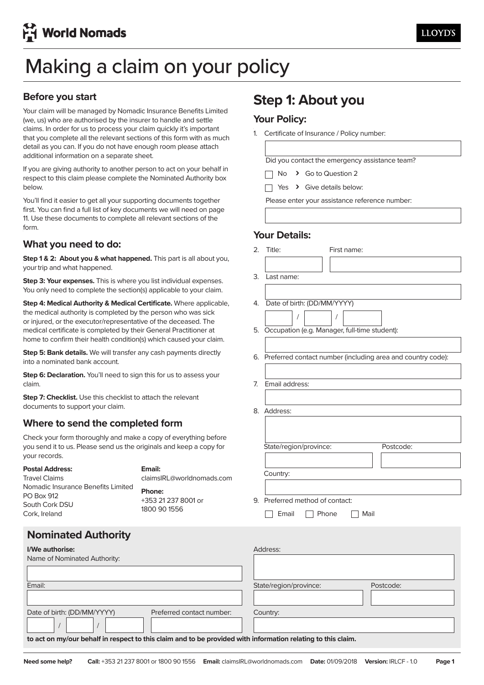# Making a claim on your policy Making a claim on your policy

### **Before you start**

**Before you start** Your claim will be managed by Nomadic Insurance Benefits Limited (we, us) who are authorised by the insurer to handle and settle claims. In order for us to process your claim quickly it's important that you complete all the relevant sections of this form with as much actum as you can, in you as not nave chough room picase attach additional information on a separate sheet. detail as you can. If you do not have enough room please attach

If you are giving authority to another person to act on your behalf in respect to this claim please complete the Nominated Authority box  $E_{\rm CO}$  and  $E_{\rm CO}$  and  $E_{\rm CO}$  are giving another person to another person to act on  $E_{\rm CO}$  in  $E_{\rm CO}$  in  $E_{\rm CO}$  in  $E_{\rm CO}$  in  $E_{\rm CO}$  in  $E_{\rm CO}$  in  $E_{\rm CO}$  in  $E_{\rm CO}$  in  $E_{\rm CO}$  in  $E_{\rm CO}$  in  $E_{\rm CO}$  in below.

You'll find it easier to get all your supporting documents together first. You can find a full list of key documents we will need on page 11. Use these documents to complete all relevant sections of the<br>faxe first.  $\frac{1}{2}$  and  $\frac{1}{2}$  and  $\frac{1}{2}$  and  $\frac{1}{2}$  and  $\frac{1}{2}$  and  $\frac{1}{2}$  and  $\frac{1}{2}$  and  $\frac{1}{2}$  and  $\frac{1}{2}$  and  $\frac{1}{2}$  and  $\frac{1}{2}$  and  $\frac{1}{2}$  and  $\frac{1}{2}$  and  $\frac{1}{2}$  and  $\frac{1}{2}$  and  $\frac{$ form.

#### $10^{\circ}$  . Userting these documents to complete all  $\sim$ **What you need to do:**

**What you need to do:** your trip and what happened. **Step 1 & 2: About you & what happened.** This part is all about you,

**Step 3: Your expenses.** This is where you list individual expenses. You only need to complete the section(s) applicable to your claim.

Step 4: Medical Authority & Medical Certificate. Where applicable, the medical authority is completed by the person who was sick **Step 4: Medical Authority & Medical Certificate.** Where applicable, medical certificate is completed by their General Practitioner at medical commedical bumpleted by their ochieram ractifioner at home to confirm their health condition(s) which caused your claim.<br>. or injured, or the executor/representative of the deceased. The

Step 5: Bank details. We will transfer any cash payments directly into a nominated bank account.

**Step 6: Declaration.** You'll need to sign this for us to assess your into a nominated bank account of the second bank account of the second bank account of the second bank account of the second bank account of the second bank account of the second bank account of the second bank account of

**Step 7: Checklist.** Use this checklist to attach the relevant documents to support your claim.

#### Where to send the completed form **Where to send the completed form**

**Where to send the completed form** you send it to us. Please send us the originals and keep a copy for your records. The make a copy of everything before  $\mathcal{L}$ Check your form thoroughly and make a copy of everything before

| <b>Postal Address:</b>                                                              | Email:                                        |
|-------------------------------------------------------------------------------------|-----------------------------------------------|
| <b>Travel Claims</b>                                                                | claimsIRL@worldnomads.co                      |
| Nomadic Insurance Benefits Limited<br>PO Box 912<br>South Cork DSU<br>Cork, Ireland | Phone:<br>+353 21 237 8001 or<br>1800 90 1556 |

**Nominated Authority** 

claimsIRL@worldnomads.com

## **Step 1: About you Step 1: About you**

### **Your Policy:**

1. Certificate of Insurance / Policy number:

1. Certificate of Insurance / Policy Number:

Did you contact the emergency assistance team?

No **>** Go to Question 2

 $\Box$  Yes > Give details below:

Please enter your assistance reference number:<br>
Fig. 2016

Please enter your assistance reference number:

### **Your Details:**

| 2. | Title:                         | First name:                                                    |
|----|--------------------------------|----------------------------------------------------------------|
|    |                                |                                                                |
| З. | Last name:                     |                                                                |
|    |                                |                                                                |
|    | 4. Date of birth: (DD/MM/YYYY) |                                                                |
|    | $\prime$                       | I                                                              |
|    |                                | 5. Occupation (e.g. Manager, full-time student):               |
|    |                                |                                                                |
|    |                                | 6. Preferred contact number (including area and country code): |
|    |                                |                                                                |
| 7. | Email address:                 |                                                                |
|    |                                |                                                                |
|    | 8. Address:                    |                                                                |
|    |                                |                                                                |
|    |                                |                                                                |
|    | State/region/province:         | Postcode:                                                      |
|    |                                |                                                                |
|    | Country:                       |                                                                |
|    |                                |                                                                |
| 9. | Preferred method of contact:   |                                                                |
|    | Email                          | Mail<br>Phone                                                  |
|    |                                |                                                                |
|    |                                |                                                                |

| I/We authorise:                                                                                              | Address:                            |
|--------------------------------------------------------------------------------------------------------------|-------------------------------------|
| Name of Nominated Authority:                                                                                 |                                     |
|                                                                                                              |                                     |
| Email:                                                                                                       | State/region/province:<br>Postcode: |
|                                                                                                              |                                     |
| Date of birth: (DD/MM/YYYY)<br>Preferred contact number:                                                     | Country:                            |
|                                                                                                              |                                     |
| to act on my/our behalf in respect to this claim and to be provided with information relating to this claim. |                                     |
|                                                                                                              |                                     |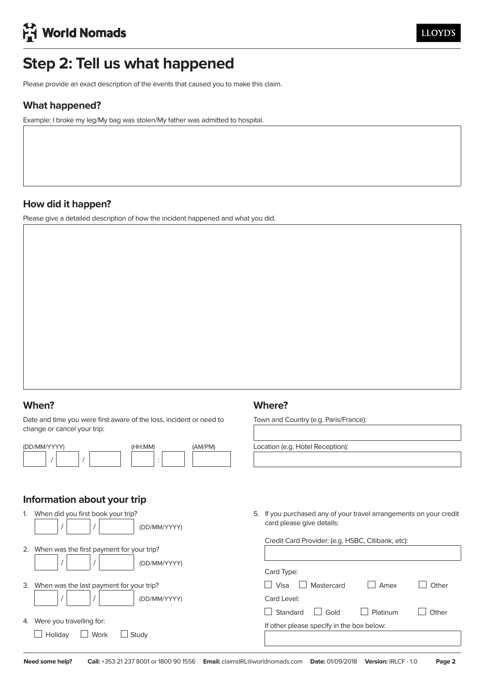# **Step 2: Tell us what happened**

Please provide an exact description of the events that caused you to make this claim.

### **What happened?**

Example: I broke my leg/My bag was stolen/My father was admitted to hospital.

### **How did it happen?**

Please give a detailed description of how the incident happened and what you did.

### **When?**

Date and time you were first aware of the loss, incident or need to change or cancel your trip:

| (DD/MM/YYYY) | (HH:MM) | (AM/PM) |
|--------------|---------|---------|
|              | ٠       |         |

### **Information about your trip**

| 1. | When did you first book your trip?<br>(DD/MM/YYYY)        |
|----|-----------------------------------------------------------|
| 2. | When was the first payment for your trip?<br>(DD/MM/YYYY) |
| З. | When was the last payment for your trip?<br>(DD/MM/YYYY)  |
| 4. | Were you travelling for:<br>Holiday<br>Work<br>Study      |

### **Where?**

Town and Country (e.g. Paris/France):

Location (e.g. Hotel Reception):

5. If you purchased any of your travel arrangements on your credit card please give details:

| Card Type:                       |          |       |
|----------------------------------|----------|-------|
| Visa<br>Mastercard               | Amex     | Other |
| Card Level:                      |          |       |
| $\vert$ $\vert$ Gold<br>Standard | Platinum | Other |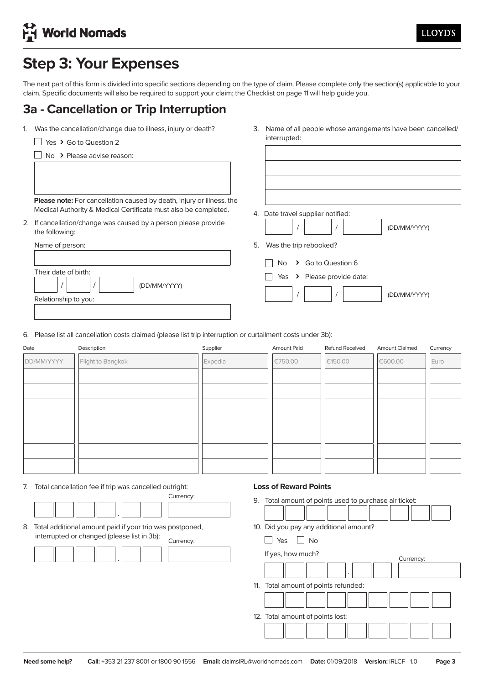# **Step 3: Your Expenses**

The next part of this form is divided into specific sections depending on the type of claim. Please complete only the section(s) applicable to your claim. Specific documents will also be required to support your claim; the Checklist on page 11 will help guide you.

## **3a - Cancellation or Trip Interruption**

- 1. Was the cancellation/change due to illness, injury or death?
	- Yes **›** Go to Question 2

**Please note:** For cancellation caused by death, injury or Please note: For cancellation caused by death, injury or illness, the Medical Authority & Medical Certificate must also be completed.

2. If cancellation/change was caused by a person please provide  $the$ 

| the following:       |                              |
|----------------------|------------------------------|
| Name of person:      | Was the trip rebooked?<br>5. |
|                      | > Go to Question 6<br>No.    |
| Their date of birth: | Yes > Please provide da      |
| (DD/MM/YYYY)         |                              |
| Relationship to you: |                              |
|                      |                              |

3. Name of all people whose arrangements have been cancelled/affected: interrupted:

3. Name of all people whose arrangements have been cancelled/

4. Date travel supplier notified:

 $\frac{1}{\sqrt{2}}$ / / (DD/MM/YYYY)

- / / (DD/MM/YYYY) rip rebooked?
- No > Go to Question 6
- □<br>□ Yes **›** Please provide date:

/ / (DD/MM/YYYY)

6. Please list all cancellation costs claimed (please list trip interruption or curtailment costs under 3b):

| Date       | Description       | Supplier | Amount Paid | Refund Received | <b>Amount Claimed</b> | Currency |
|------------|-------------------|----------|-------------|-----------------|-----------------------|----------|
| DD/MM/YYYY | Flight to Bangkok | Expedia  | €750.00     | €150.00         | €600.00               | Euro     |
|            |                   |          |             |                 |                       |          |
|            |                   |          |             |                 |                       |          |
|            |                   |          |             |                 |                       |          |
|            |                   |          |             |                 |                       |          |
|            |                   |          |             |                 |                       |          |
|            |                   |          |             |                 |                       |          |
|            |                   |          |             |                 |                       |          |

7. Total cancellation fee if trip was cancelled outright:

|  |  |  | Currency: |
|--|--|--|-----------|
|  |  |  |           |
|  |  |  |           |

8. Total additional amount paid if your trip was postponed, . interrupted or changed (please list in 3b): Currency:

|  | Currency. |
|--|-----------|
|  |           |
|  |           |
|  |           |

### **Loss of Reward Points**

9. Total amount of points used to purchase air ticket:

10. Did you pay any additional amount?

| Yes | <b>No</b> |  |
|-----|-----------|--|
|     |           |  |

| If yes, how much?                    | Currency: |
|--------------------------------------|-----------|
| ٠                                    |           |
| 11. Total amount of points refunded: |           |
|                                      |           |
| 12. Total amount of points lost:     |           |
|                                      |           |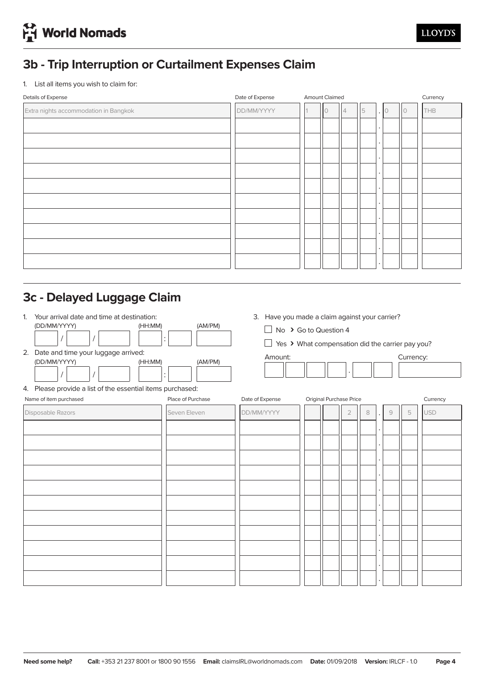# **3b - Trip Interruption or Curtailment Expenses Claim**

1. List all items you wish to claim for:

| Details of Expense                    | Date of Expense | <b>Amount Claimed</b> | Currency   |   |                      |  |     |
|---------------------------------------|-----------------|-----------------------|------------|---|----------------------|--|-----|
| Extra nights accommodation in Bangkok | DD/MM/YYYY      | $\circ$               | $\sqrt{4}$ | 5 | $\cdot$ 0            |  | THB |
|                                       |                 |                       |            |   | $\bullet$            |  |     |
|                                       |                 |                       |            |   | $\bullet$            |  |     |
|                                       |                 |                       |            |   | $\ddot{\phantom{0}}$ |  |     |
|                                       |                 |                       |            |   | $\ddot{\phantom{0}}$ |  |     |
|                                       |                 |                       |            |   | $\bullet$            |  |     |
|                                       |                 |                       |            |   | $\bullet$            |  |     |
|                                       |                 |                       |            |   | $\bullet$            |  |     |
|                                       |                 |                       |            |   | $\bullet$            |  |     |
|                                       |                 |                       |            |   | $\bullet$            |  |     |
|                                       |                 |                       |            |   | $\ddot{\phantom{0}}$ |  |     |
|                                       |                 |                       |            |   |                      |  |     |

# **3c - Delayed Luggage Claim**

| $\mathbf{1}$ | Your arrival date and time at destination:                     |                      |                 | 3. Have you made a claim against your carrier?   |        |                 |  |  |
|--------------|----------------------------------------------------------------|----------------------|-----------------|--------------------------------------------------|--------|-----------------|--|--|
|              | (DD/MM/YYYY)<br>(HH:MM)                                        | (AM/PM)              |                 | No > Go to Question 4                            |        |                 |  |  |
|              |                                                                | $\ddot{\cdot}$       |                 | Yes > What compensation did the carrier pay you? |        |                 |  |  |
| 2.           | Date and time your luggage arrived:<br>(DD/MM/YYYY)<br>(HH:MM) | (AM/PM)              | Amount:         |                                                  |        | Currency:       |  |  |
|              |                                                                | $\bullet$<br>$\cdot$ |                 |                                                  |        |                 |  |  |
|              | 4. Please provide a list of the essential items purchased:     |                      |                 |                                                  |        |                 |  |  |
|              | Name of item purchased                                         | Place of Purchase    | Date of Expense | Original Purchase Price                          |        | Currency        |  |  |
|              | Disposable Razors                                              | Seven Eleven         | DD/MM/YYYY      | 2                                                | 9<br>8 | <b>USD</b><br>5 |  |  |
|              |                                                                |                      |                 |                                                  |        |                 |  |  |
|              |                                                                |                      |                 |                                                  |        |                 |  |  |
|              |                                                                |                      |                 |                                                  |        |                 |  |  |
|              |                                                                |                      |                 |                                                  |        |                 |  |  |
|              |                                                                |                      |                 |                                                  |        |                 |  |  |
|              |                                                                |                      |                 |                                                  |        |                 |  |  |
|              |                                                                |                      |                 |                                                  |        |                 |  |  |
|              |                                                                |                      |                 |                                                  |        |                 |  |  |
|              |                                                                |                      |                 |                                                  |        |                 |  |  |
|              |                                                                |                      |                 |                                                  |        |                 |  |  |
|              |                                                                |                      |                 |                                                  |        |                 |  |  |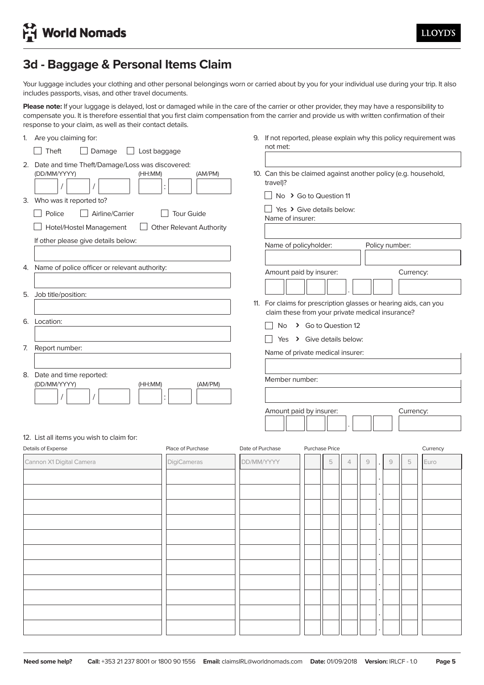# **3d - Baggage & Personal Items Claim**

Your luggage includes your clothing and other personal belongings worn or carried about by you for your individual use during your trip. It also includes passports, visas, and other travel documents.

Please note: If your luggage is delayed, lost or damaged while in the care of the carrier or other provider, they may have a responsibility to compensate you. It is therefore essential that you first claim compensation from the carrier and provide us with written confirmation of their response to your claim, as well as their contact details.

|    | 1. Are you claiming for:                                                                                                                            |                  | not met:                                                                                              |                       |   |                |               |                |           | 9. If not reported, please explain why this policy requirement was |
|----|-----------------------------------------------------------------------------------------------------------------------------------------------------|------------------|-------------------------------------------------------------------------------------------------------|-----------------------|---|----------------|---------------|----------------|-----------|--------------------------------------------------------------------|
|    | Theft<br>Damage<br>Lost baggage<br>$\blacksquare$                                                                                                   |                  |                                                                                                       |                       |   |                |               |                |           |                                                                    |
|    | 2. Date and time Theft/Damage/Loss was discovered:<br>(DD/MM/YYYY)<br>(AM/PM)<br>(HH:MM)<br>$\ddot{\cdot}$<br>3. Who was it reported to?            |                  | 10. Can this be claimed against another policy (e.g. household,<br>travel)?<br>No > Go to Question 11 |                       |   |                |               |                |           |                                                                    |
|    | Police<br><b>Tour Guide</b><br>Airline/Carrier<br>Hotel/Hostel Management<br><b>Other Relevant Authority</b><br>If other please give details below: |                  | Yes > Give details below:<br>Name of insurer:<br>Name of policyholder:                                |                       |   |                |               | Policy number: |           |                                                                    |
|    |                                                                                                                                                     |                  |                                                                                                       |                       |   |                |               |                |           |                                                                    |
|    | 4. Name of police officer or relevant authority:                                                                                                    |                  | Amount paid by insurer:                                                                               |                       |   |                |               |                | Currency: |                                                                    |
| 5. | Job title/position:                                                                                                                                 |                  | 11. For claims for prescription glasses or hearing aids, can you                                      |                       |   |                |               |                |           |                                                                    |
|    | 6. Location:                                                                                                                                        |                  | claim these from your private medical insurance?<br>No.                                               | > Go to Question 12   |   |                |               |                |           |                                                                    |
|    |                                                                                                                                                     |                  | Yes > Give details below:                                                                             |                       |   |                |               |                |           |                                                                    |
| 7. | Report number:                                                                                                                                      |                  | Name of private medical insurer:                                                                      |                       |   |                |               |                |           |                                                                    |
|    | 8. Date and time reported:<br>(DD/MM/YYYY)<br>(AM/PM)<br>(HH:MM)                                                                                    |                  | Member number:                                                                                        |                       |   |                |               |                |           |                                                                    |
|    |                                                                                                                                                     |                  | Amount paid by insurer:                                                                               |                       |   |                |               |                | Currency: |                                                                    |
|    |                                                                                                                                                     |                  |                                                                                                       |                       |   |                |               |                |           |                                                                    |
|    | 12. List all items you wish to claim for:<br>Details of Expense<br>Place of Purchase                                                                | Date of Purchase |                                                                                                       | <b>Purchase Price</b> |   |                |               |                |           | Currency                                                           |
|    | Cannon X1 Digital Camera<br><b>DigiCameras</b>                                                                                                      | DD/MM/YYYY       |                                                                                                       |                       | 5 | $\overline{4}$ | $\mathcal{G}$ | $\mathcal{G}$  | 5         | Euro                                                               |
|    |                                                                                                                                                     |                  |                                                                                                       |                       |   |                |               |                |           |                                                                    |
|    |                                                                                                                                                     |                  |                                                                                                       |                       |   |                |               |                |           |                                                                    |
|    |                                                                                                                                                     |                  |                                                                                                       |                       |   |                |               |                |           |                                                                    |
|    |                                                                                                                                                     |                  |                                                                                                       |                       |   |                |               |                |           |                                                                    |
|    |                                                                                                                                                     |                  |                                                                                                       |                       |   |                |               |                |           |                                                                    |
|    |                                                                                                                                                     |                  |                                                                                                       |                       |   |                |               |                |           |                                                                    |
|    |                                                                                                                                                     |                  |                                                                                                       |                       |   |                |               |                |           |                                                                    |
|    |                                                                                                                                                     |                  |                                                                                                       |                       |   |                |               |                |           |                                                                    |
|    |                                                                                                                                                     |                  |                                                                                                       |                       |   |                |               |                |           |                                                                    |

. .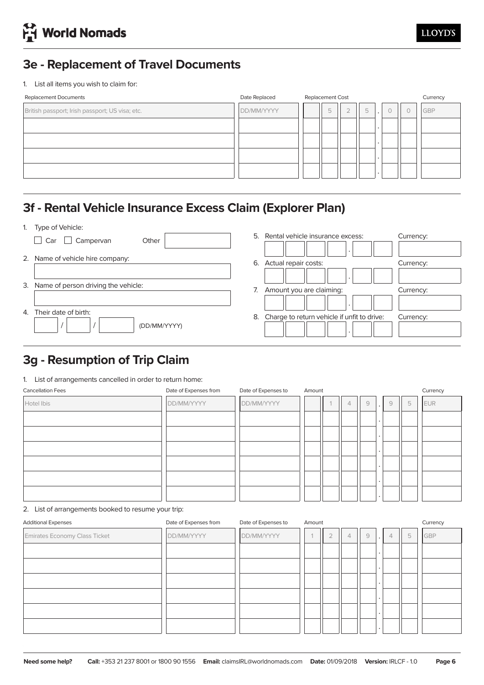# **3e - Replacement of Travel Documents**

1. List all items you wish to claim for:

| Date Replaced |  | Currency |                  |         |  |            |
|---------------|--|----------|------------------|---------|--|------------|
| DD/MM/YYYY    |  | 5        | 5                | $\cdot$ |  | <b>GBP</b> |
|               |  |          |                  |         |  |            |
|               |  |          |                  |         |  |            |
|               |  |          |                  |         |  |            |
|               |  |          |                  |         |  |            |
|               |  |          | Replacement Cost |         |  |            |

# **3f - Rental Vehicle Insurance Excess Claim (Explorer Plan)**

1. Type of Vehicle:

|    | <b>IVOU VERTION.</b>                   |    |                                                |           |
|----|----------------------------------------|----|------------------------------------------------|-----------|
|    | Car<br>Other<br>Campervan              | 5. | Rental vehicle insurance excess:               | Currency: |
|    | 2. Name of vehicle hire company:       |    | $\cdot$<br>6. Actual repair costs:             | Currency: |
|    | 3. Name of person driving the vehicle: | 7. | $\cdot$<br>Amount you are claiming:            | Currency: |
| 4. | Their date of birth:<br>(DD/MM/YYYY)   |    | 8. Charge to return vehicle if unfit to drive: | Currency: |

# **3g - Resumption of Trip Claim**

#### 1. List of arrangements cancelled in order to return home:

| Date of Expenses from<br>Date of Expenses to<br><b>Cancellation Fees</b> |            |  | Currency |                |           |   |   |            |
|--------------------------------------------------------------------------|------------|--|----------|----------------|-----------|---|---|------------|
| DD/MM/YYYY                                                               | DD/MM/YYYY |  | 4        | $\overline{9}$ | $\sim$    | 9 | 5 | <b>EUR</b> |
|                                                                          |            |  |          |                |           |   |   |            |
|                                                                          |            |  |          |                | $\bullet$ |   |   |            |
|                                                                          |            |  |          |                |           |   |   |            |
|                                                                          |            |  |          |                |           |   |   |            |
|                                                                          |            |  |          |                |           |   |   |            |
|                                                                          |            |  |          |                |           |   |   |            |
|                                                                          |            |  | Amount   |                |           |   |   |            |

2. List of arrangements booked to resume your trip:

| <b>Additional Expenses</b>           | Date of Expenses from | Date of Expenses to | Amount | Currency       |                |   |                      |                |   |     |
|--------------------------------------|-----------------------|---------------------|--------|----------------|----------------|---|----------------------|----------------|---|-----|
| <b>Emirates Economy Class Ticket</b> | DD/MM/YYYY            | DD/MM/YYYY          |        | $\bigcap$<br>∠ | $\overline{4}$ | 9 | $\ddot{\phantom{1}}$ | $\overline{4}$ | 5 | GBP |
|                                      |                       |                     |        |                |                |   |                      |                |   |     |
|                                      |                       |                     |        |                |                |   |                      |                |   |     |
|                                      |                       |                     |        |                |                |   |                      |                |   |     |
|                                      |                       |                     |        |                |                |   |                      |                |   |     |
|                                      |                       |                     |        |                |                |   |                      |                |   |     |
|                                      |                       |                     |        |                |                |   |                      |                |   |     |
|                                      |                       |                     |        |                |                |   |                      |                |   |     |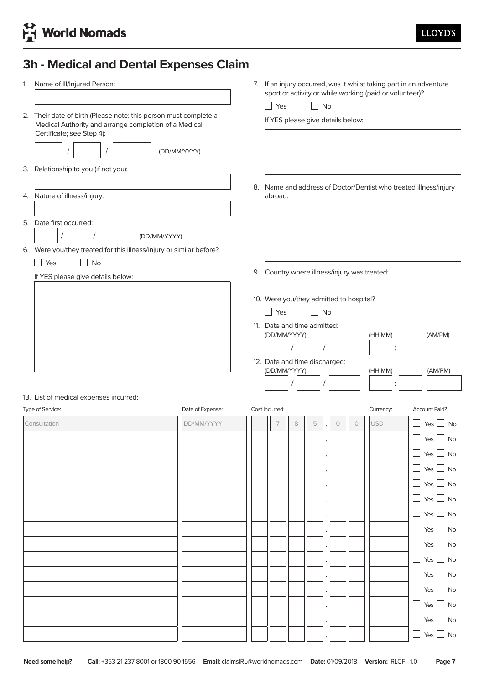# **3h - Medical and Dental Expenses Claim**

| 1. | Name of III/Injured Person:                                                                                                                            |                  | $\Box$ Yes                                     |   | $\Box$ No |           |         |            | 7. If an injury occurred, was it whilst taking part in an adventure<br>sport or activity or while working (paid or volunteer)? |                                                                  |
|----|--------------------------------------------------------------------------------------------------------------------------------------------------------|------------------|------------------------------------------------|---|-----------|-----------|---------|------------|--------------------------------------------------------------------------------------------------------------------------------|------------------------------------------------------------------|
|    | 2. Their date of birth (Please note: this person must complete a<br>Medical Authority and arrange completion of a Medical<br>Certificate; see Step 4): | (DD/MM/YYYY)     | If YES please give details below:              |   |           |           |         |            |                                                                                                                                |                                                                  |
|    | 3. Relationship to you (if not you):                                                                                                                   |                  |                                                |   |           |           |         |            |                                                                                                                                |                                                                  |
|    | 4. Nature of illness/injury:                                                                                                                           |                  | abroad:                                        |   |           |           |         |            |                                                                                                                                | 8. Name and address of Doctor/Dentist who treated illness/injury |
|    | 5. Date first occurred:<br>$\prime$<br>(DD/MM/YYYY)<br>6. Were you/they treated for this illness/injury or similar before?<br>Yes<br><b>No</b>         |                  |                                                |   |           |           |         |            |                                                                                                                                |                                                                  |
|    | If YES please give details below:                                                                                                                      |                  |                                                |   |           |           |         |            | 9. Country where illness/injury was treated:                                                                                   |                                                                  |
|    |                                                                                                                                                        |                  | 10. Were you/they admitted to hospital?<br>Yes |   |           | <b>No</b> |         |            |                                                                                                                                |                                                                  |
|    |                                                                                                                                                        |                  | 11. Date and time admitted:<br>(DD/MM/YYYY)    |   |           |           |         |            | (HH:MM)                                                                                                                        | (AM/PM)                                                          |
|    |                                                                                                                                                        |                  | 12. Date and time discharged:                  |   |           |           |         |            |                                                                                                                                |                                                                  |
|    |                                                                                                                                                        |                  | (DD/MM/YYYY)                                   |   |           |           |         |            | (HH:MM)                                                                                                                        | (AM/PM)                                                          |
|    | 13. List of medical expenses incurred:<br>Type of Service:                                                                                             | Date of Expense: | Cost Incurred:                                 |   |           |           |         |            | Currency:                                                                                                                      | <b>Account Paid?</b>                                             |
|    | Consultation                                                                                                                                           | DD/MM/YYYY       | 7                                              | 8 | 5         |           | $\circ$ | $\bigcirc$ | <b>USD</b>                                                                                                                     | Yes<br><b>No</b>                                                 |
|    |                                                                                                                                                        |                  |                                                |   |           |           |         |            |                                                                                                                                | Yes  <br>No                                                      |
|    |                                                                                                                                                        |                  |                                                |   |           |           |         |            |                                                                                                                                | $\Box$ Yes $\Box$ No                                             |
|    |                                                                                                                                                        |                  |                                                |   |           |           |         |            |                                                                                                                                | $\Box$ Yes $\Box$ No                                             |
|    |                                                                                                                                                        |                  |                                                |   |           |           |         |            |                                                                                                                                | $\Box$ Yes $\Box$ No                                             |
|    |                                                                                                                                                        |                  |                                                |   |           |           |         |            |                                                                                                                                | $\Box$ Yes $\Box$ No                                             |
|    |                                                                                                                                                        |                  |                                                |   |           |           |         |            |                                                                                                                                | $\Box$ Yes $\Box$ No                                             |
|    |                                                                                                                                                        |                  |                                                |   |           |           |         |            |                                                                                                                                | $\Box$ Yes $\Box$ No                                             |
|    |                                                                                                                                                        |                  |                                                |   |           |           |         |            |                                                                                                                                | $\Box$ Yes $\Box$ No                                             |
|    |                                                                                                                                                        |                  |                                                |   |           |           |         |            |                                                                                                                                | $\Box$ Yes $\Box$ No                                             |
|    |                                                                                                                                                        |                  |                                                |   |           |           |         |            |                                                                                                                                | $\Box$ Yes $\Box$ No                                             |
|    |                                                                                                                                                        |                  |                                                |   |           |           |         |            |                                                                                                                                | $\Box$ Yes $\Box$ No                                             |
|    |                                                                                                                                                        |                  |                                                |   |           |           |         |            |                                                                                                                                | $\Box$ Yes $\Box$ No                                             |
|    |                                                                                                                                                        |                  |                                                |   |           |           |         |            |                                                                                                                                | $\Box$ Yes $\Box$ No                                             |
|    |                                                                                                                                                        |                  |                                                |   |           |           |         |            |                                                                                                                                | $\Box$ Yes $\Box$ No                                             |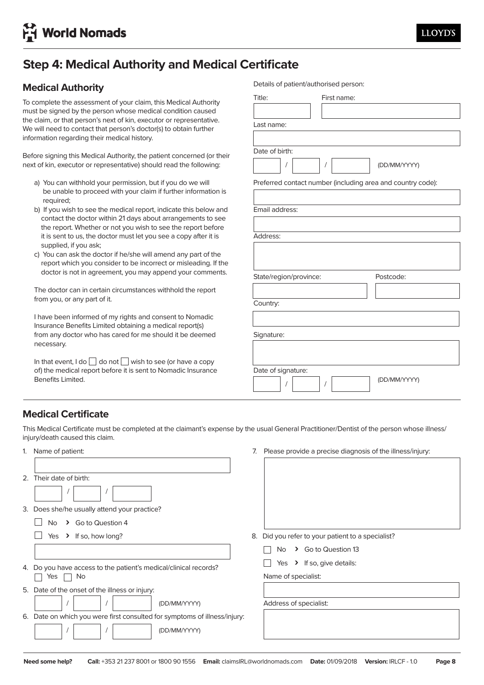# **Step 4: Medical Authority and Medical Certificate**

### **Medical Authority**

To complete the assessment of your claim, this Medical Authority must be signed by the person whose medical condition caused the claim, or that person's next of kin, executor or representative. We will need to contact that person's doctor(s) to obtain further information regarding their medical history.

Before signing this Medical Authority, the patient concerned (or their next of kin, executor or representative) should read the following:

- a) You can withhold your permission, but if you do we will be unable to proceed with your claim if further information is required;
- b) If you wish to see the medical report, indicate this below and contact the doctor within 21 days about arrangements to see the report. Whether or not you wish to see the report before it is sent to us, the doctor must let you see a copy after it is supplied, if you ask;
- supplied, if you ask;<br>c) You can ask the doctor if he/she will amend any part of the report which you consider to be incorrect or misleading. If the  $\qquad \qquad \mid$ doctor is not in agreement, you may append your comments.

The doctor can in certain circumstances withhold the report from you, or any part of it.

I have been informed of my rights and consent to Nomadic insurance benefits Eimited obtaining a medical report(s)<br>from any doctor who has cared for me should it be deemed necessary. Insurance Benefits Limited obtaining a medical report(s)

In that event, I do  $\Box$  do not  $\Box$  wish to see (or have a copy of) the medical report before it is sent to Nomadic Insurance Benefits Limited.

 $\overline{\phantom{a}}$  . Do you have access to the patient  $\overline{\phantom{a}}$ 

| Title:                 | First name:                                                 |
|------------------------|-------------------------------------------------------------|
|                        |                                                             |
|                        |                                                             |
| Last name:             |                                                             |
|                        |                                                             |
| Date of birth:         |                                                             |
|                        |                                                             |
| T                      | (DD/MM/YYYY)<br>$\sqrt{ }$                                  |
|                        | Preferred contact number (including area and country code): |
|                        |                                                             |
|                        |                                                             |
| Email address:         |                                                             |
|                        |                                                             |
| Address:               |                                                             |
|                        |                                                             |
|                        |                                                             |
|                        |                                                             |
|                        |                                                             |
|                        |                                                             |
| State/region/province: | Postcode:                                                   |
|                        |                                                             |
| Country:               |                                                             |
|                        |                                                             |
|                        |                                                             |
| Signature:             |                                                             |
|                        |                                                             |
|                        |                                                             |
|                        |                                                             |
| Date of signature:     | (DD/MM/YYYY)                                                |

Details of patient/authorised person:

### **Medical Certificate**

This Medical Certificate must be completed at the claimant's expense by the usual General Practitioner/Dentist of the person whose illness/ injury/death caused this claim.

| 1. Name of patient:                                                       | 7. | Please provide a precise diagnosis of the illness/injury: |
|---------------------------------------------------------------------------|----|-----------------------------------------------------------|
|                                                                           |    |                                                           |
| 2. Their date of birth:                                                   |    |                                                           |
|                                                                           |    |                                                           |
| 3. Does she/he usually attend your practice?                              |    |                                                           |
| Go to Question 4<br>No.<br>$\rightarrow$                                  |    |                                                           |
| If so, how long?<br>Yes<br>$\rightarrow$                                  | 8. | Did you refer to your patient to a specialist?            |
|                                                                           |    | Go to Question 13<br>No<br>$\sum$                         |
| 4. Do you have access to the patient's medical/clinical records?          |    | If so, give details:<br>Yes<br>$\rightarrow$              |
| No<br>Yes                                                                 |    | Name of specialist:                                       |
| 5. Date of the onset of the illness or injury:                            |    |                                                           |
| (DD/MM/YYYY)                                                              |    | Address of specialist:                                    |
| 6. Date on which you were first consulted for symptoms of illness/injury: |    |                                                           |
| (DD/MM/YYYY)                                                              |    |                                                           |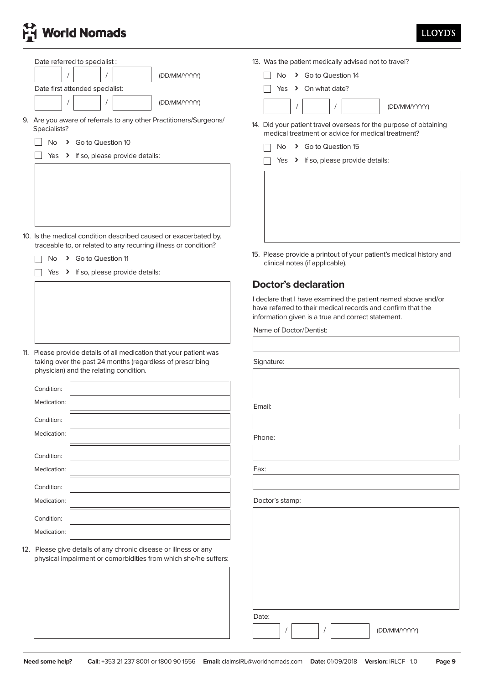# **H** World Nomads

| Date referred to specialist:                                                                                                                                              | 13. Was the patient medically advised not to travel?                                                                                                                               |
|---------------------------------------------------------------------------------------------------------------------------------------------------------------------------|------------------------------------------------------------------------------------------------------------------------------------------------------------------------------------|
| (DD/MM/YYYY)                                                                                                                                                              | > Go to Question 14<br><b>No</b>                                                                                                                                                   |
| Date first attended specialist:                                                                                                                                           | > On what date?<br>Yes                                                                                                                                                             |
| (DD/MM/YYYY)                                                                                                                                                              | (DD/MM/YYYY)                                                                                                                                                                       |
| 9. Are you aware of referrals to any other Practitioners/Surgeons/<br>Specialists?                                                                                        | 14. Did your patient travel overseas for the purpose of obtaining<br>medical treatment or advice for medical treatment?                                                            |
| > Go to Question 10<br><b>No</b>                                                                                                                                          | > Go to Question 15<br>No.                                                                                                                                                         |
| Yes > If so, please provide details:                                                                                                                                      | Yes > If so, please provide details:                                                                                                                                               |
|                                                                                                                                                                           |                                                                                                                                                                                    |
| 10. Is the medical condition described caused or exacerbated by,<br>traceable to, or related to any recurring illness or condition?                                       |                                                                                                                                                                                    |
| > Go to Question 11<br>No                                                                                                                                                 | 15. Please provide a printout of your patient's medical history and<br>clinical notes (if applicable).                                                                             |
| Yes > If so, please provide details:                                                                                                                                      |                                                                                                                                                                                    |
|                                                                                                                                                                           | <b>Doctor's declaration</b>                                                                                                                                                        |
|                                                                                                                                                                           | I declare that I have examined the patient named above and/or<br>have referred to their medical records and confirm that the<br>information given is a true and correct statement. |
|                                                                                                                                                                           | Name of Doctor/Dentist:                                                                                                                                                            |
|                                                                                                                                                                           |                                                                                                                                                                                    |
| 11. Please provide details of all medication that your patient was<br>taking over the past 24 months (regardless of prescribing<br>physician) and the relating condition. | Signature:                                                                                                                                                                         |
| Condition:                                                                                                                                                                |                                                                                                                                                                                    |
| Medication:                                                                                                                                                               | Email:                                                                                                                                                                             |
| Condition:                                                                                                                                                                |                                                                                                                                                                                    |
| Medication:                                                                                                                                                               |                                                                                                                                                                                    |
|                                                                                                                                                                           | Phone:                                                                                                                                                                             |
| Condition:                                                                                                                                                                |                                                                                                                                                                                    |
| Medication:                                                                                                                                                               | Fax:                                                                                                                                                                               |
| Condition:                                                                                                                                                                |                                                                                                                                                                                    |
| Medication:                                                                                                                                                               | Doctor's stamp:                                                                                                                                                                    |
| Condition:                                                                                                                                                                |                                                                                                                                                                                    |
| Medication:                                                                                                                                                               |                                                                                                                                                                                    |
| 12. Please give details of any chronic disease or illness or any<br>physical impairment or comorbidities from which she/he suffers:                                       |                                                                                                                                                                                    |
|                                                                                                                                                                           |                                                                                                                                                                                    |
|                                                                                                                                                                           |                                                                                                                                                                                    |
|                                                                                                                                                                           | Date:<br>(DD/MM/YYYY)                                                                                                                                                              |
|                                                                                                                                                                           |                                                                                                                                                                                    |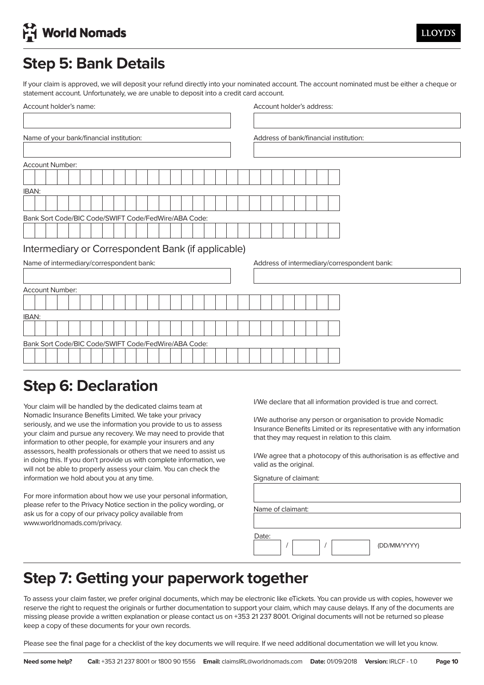# **H** World Nomads

# **Step 5: Bank Details**

If your claim is approved, we will deposit your refund directly into your nominated account. The account nominated must be either a cheque or statement account. Unfortunately, we are unable to deposit into a credit card account.

| Account holder's name:                               | Account holder's address:                   |  |
|------------------------------------------------------|---------------------------------------------|--|
|                                                      |                                             |  |
| Name of your bank/financial institution:             | Address of bank/financial institution:      |  |
|                                                      |                                             |  |
| Account Number:                                      |                                             |  |
|                                                      |                                             |  |
| IBAN:                                                |                                             |  |
|                                                      |                                             |  |
| Bank Sort Code/BIC Code/SWIFT Code/FedWire/ABA Code: |                                             |  |
|                                                      |                                             |  |
| Intermediary or Correspondent Bank (if applicable)   |                                             |  |
| Name of intermediary/correspondent bank:             | Address of intermediary/correspondent bank: |  |
|                                                      |                                             |  |
| Account Number:                                      |                                             |  |
|                                                      |                                             |  |
| IBAN:                                                |                                             |  |
|                                                      |                                             |  |
| Bank Sort Code/BIC Code/SWIFT Code/FedWire/ABA Code: |                                             |  |
|                                                      |                                             |  |
|                                                      |                                             |  |

### Sten 6: Declaration **Step 6: Declaration**

Your claim will be handled by the dedicated claims team at Fromatic institute Benefits Elimited. We take your privacy<br>seriously, and we use the information you provide to us to assess your claim and pursue any recovery. We may need to provide that information to other people, for example your insurers and any momador to oner people, for example your modicity and any assessors, health professionals or others that we need to assist us Nomadic Insurance Benefits Limited. We take your privacy in doing this. If you don't provide us with complete information, we will not be able to properly assess your claim. You can check the information we hold about you at any time.

For more information about how we use your personal information, please refer to the Privacy Notice section in the policy wording, or ask us for a copy of our privacy policy available from www.worldnomads.com/privacy.

I/We declare that all information provided is true and correct.

I/We authorise any person or organisation to provide Nomadic Insurance Benefits Limited or its representative with any information that they may request in relation to this claim.

I/We agree that a photocopy of this authorisation is as effective and valid as the original.

Signature of claimant:

| Name of claimant: |              |
|-------------------|--------------|
|                   |              |
| Date:             | (DD/MM/YYYY) |

### Step 7. Getting your paperwork together **Step 7: Getting your paperwork together**

To assess your claim faster, we prefer original documents, which may be electronic like eTickets. You can provide us with copies, however we reserve the right to request the originals or further documentation to support your claim, which may cause delays. If any of the documents are missing please provide a written explanation or please contact us on +353 21 237 8001. Original documents will not be returned so please keep a copy of these documents for your own records.

Please see the final page for a checklist of the key documents we will require. If we need additional documentation we will let you know.